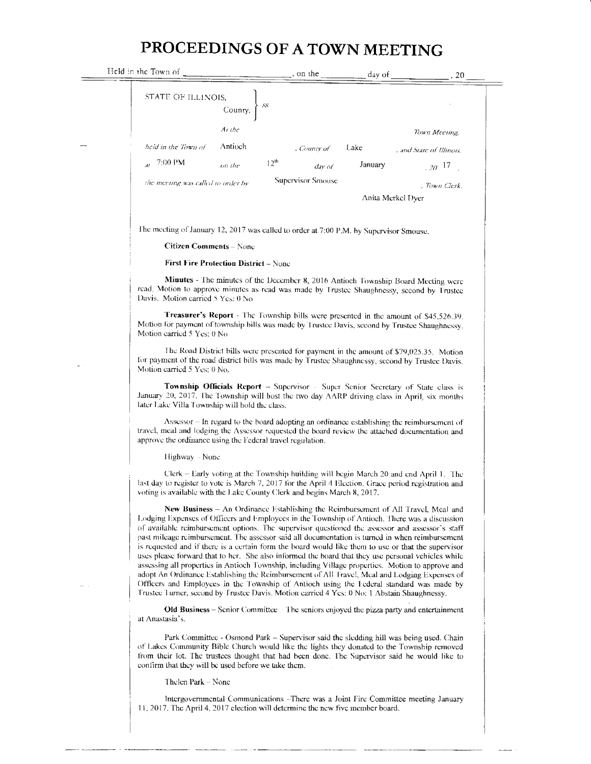## PROCEEDINGS OF A TOWN MEETING

| Held in the Town of                                                                         |                                                                                                                                                                                                                                                            |                  | $\frac{1}{2}$ , on the $\frac{1}{2}$ day of |         | .20                                                                                                                                                                                                                                                                                                                                                                                                                                                                                                                                                                                                                                                                                                                                                                                                                                                                                                      |  |  |  |
|---------------------------------------------------------------------------------------------|------------------------------------------------------------------------------------------------------------------------------------------------------------------------------------------------------------------------------------------------------------|------------------|---------------------------------------------|---------|----------------------------------------------------------------------------------------------------------------------------------------------------------------------------------------------------------------------------------------------------------------------------------------------------------------------------------------------------------------------------------------------------------------------------------------------------------------------------------------------------------------------------------------------------------------------------------------------------------------------------------------------------------------------------------------------------------------------------------------------------------------------------------------------------------------------------------------------------------------------------------------------------------|--|--|--|
| STATE OF ILLINOIS,                                                                          | County, $\left\{\begin{array}{c} \text{ss.} \\ \text{SSE} \end{array}\right\}$                                                                                                                                                                             |                  |                                             |         |                                                                                                                                                                                                                                                                                                                                                                                                                                                                                                                                                                                                                                                                                                                                                                                                                                                                                                          |  |  |  |
|                                                                                             | At the                                                                                                                                                                                                                                                     |                  |                                             |         | Town Meeting,                                                                                                                                                                                                                                                                                                                                                                                                                                                                                                                                                                                                                                                                                                                                                                                                                                                                                            |  |  |  |
| held in the Town of                                                                         | Antioch                                                                                                                                                                                                                                                    |                  | , County of                                 | Lake    | , and State of Illinois,                                                                                                                                                                                                                                                                                                                                                                                                                                                                                                                                                                                                                                                                                                                                                                                                                                                                                 |  |  |  |
| $_{31}$ 7:00 PM                                                                             | on the                                                                                                                                                                                                                                                     | 12 <sup>th</sup> | day of                                      | January | $20^{17}$                                                                                                                                                                                                                                                                                                                                                                                                                                                                                                                                                                                                                                                                                                                                                                                                                                                                                                |  |  |  |
| the meeting was called to order by                                                          |                                                                                                                                                                                                                                                            |                  | Supervisor Smouse                           |         | , Town Clerk.                                                                                                                                                                                                                                                                                                                                                                                                                                                                                                                                                                                                                                                                                                                                                                                                                                                                                            |  |  |  |
|                                                                                             |                                                                                                                                                                                                                                                            |                  |                                             |         | Anita Merkel Dyer                                                                                                                                                                                                                                                                                                                                                                                                                                                                                                                                                                                                                                                                                                                                                                                                                                                                                        |  |  |  |
| The meeting of January 12, 2017 was called to order at 7:00 P.M. by Supervisor Smouse.      |                                                                                                                                                                                                                                                            |                  |                                             |         |                                                                                                                                                                                                                                                                                                                                                                                                                                                                                                                                                                                                                                                                                                                                                                                                                                                                                                          |  |  |  |
|                                                                                             | <b>Citizen Comments</b> – None                                                                                                                                                                                                                             |                  |                                             |         |                                                                                                                                                                                                                                                                                                                                                                                                                                                                                                                                                                                                                                                                                                                                                                                                                                                                                                          |  |  |  |
|                                                                                             | <b>First Fire Protection District – None</b>                                                                                                                                                                                                               |                  |                                             |         |                                                                                                                                                                                                                                                                                                                                                                                                                                                                                                                                                                                                                                                                                                                                                                                                                                                                                                          |  |  |  |
| Davis. Motion carried 5 Yes: 0 No                                                           |                                                                                                                                                                                                                                                            |                  |                                             |         | Minutes - The minutes of the December 8, 2016 Antioch Township Board Meeting were<br>read. Motion to approve minutes as read was made by Trustee Shaughnessy, second by Trustee                                                                                                                                                                                                                                                                                                                                                                                                                                                                                                                                                                                                                                                                                                                          |  |  |  |
| Motion carried 5 Yes: 0 No                                                                  |                                                                                                                                                                                                                                                            |                  |                                             |         | Treasurer's Report - The Township bills were presented in the amount of \$45,526.39.<br>Motion for payment of township bills was made by Trustee Davis, second by Trustee Shaughnessy.                                                                                                                                                                                                                                                                                                                                                                                                                                                                                                                                                                                                                                                                                                                   |  |  |  |
| Motion carried 5 Yes: 0 No.                                                                 |                                                                                                                                                                                                                                                            |                  |                                             |         | The Road District bills were presented for payment in the amount of \$79,025.35. Motion<br>for payment of the road district bills was made by Trustee Shaughnessy, second by Trustee Davis.                                                                                                                                                                                                                                                                                                                                                                                                                                                                                                                                                                                                                                                                                                              |  |  |  |
| later Lake Villa Township will hold the class.                                              |                                                                                                                                                                                                                                                            |                  |                                             |         | Township Officials Report - Supervisor - Super Senior Secretary of State class is<br>January 20, 2017. The Township will host the two day AARP driving class in April, six months                                                                                                                                                                                                                                                                                                                                                                                                                                                                                                                                                                                                                                                                                                                        |  |  |  |
|                                                                                             | Assessor - In regard to the board adopting an ordinance establishing the reimbursement of<br>travel, meal and lodging the Assessor requested the board review the attached documentation and<br>approve the ordinance using the Federal travel regulation. |                  |                                             |         |                                                                                                                                                                                                                                                                                                                                                                                                                                                                                                                                                                                                                                                                                                                                                                                                                                                                                                          |  |  |  |
| Highway - None                                                                              |                                                                                                                                                                                                                                                            |                  |                                             |         |                                                                                                                                                                                                                                                                                                                                                                                                                                                                                                                                                                                                                                                                                                                                                                                                                                                                                                          |  |  |  |
| voting is available with the Lake County Clerk and begins March 8, 2017.                    |                                                                                                                                                                                                                                                            |                  |                                             |         | Clerk – Early voting at the Township building will begin March 20 and end April 1. The<br>last day to register to vote is March 7, 2017 for the April 4 Election. Grace period registration and                                                                                                                                                                                                                                                                                                                                                                                                                                                                                                                                                                                                                                                                                                          |  |  |  |
| Trustee Turner, second by Trustee Davis. Motion carried 4 Yes: 0 No: 1 Abstain Shaughnessy. |                                                                                                                                                                                                                                                            |                  |                                             |         | New Business – An Ordinance Establishing the Reimbursement of All Travel, Meal and<br>Lodging Expenses of Officers and Employees in the Township of Antioch. There was a discussion<br>of available reimbursement options. The supervisor questioned the assessor and assessor's staff<br>past mileage reimbursement. The assessor said all documentation is turned in when reimbursement<br>is requested and if there is a certain form the board would like them to use or that the supervisor<br>uses please forward that to her. She also informed the board that they use personal vehicles while<br>assessing all properties in Antioch Township, including Village properties. Motion to approve and<br>adopt An Ordinance Establishing the Reimbursement of All Travel, Meal and Lodging Expenses of<br>Officers and Employees in the Township of Antioch using the Federal standard was made by |  |  |  |
| at Anastasia's.                                                                             |                                                                                                                                                                                                                                                            |                  |                                             |         | <b>Old Business</b> – Senior Committee – The seniors enjoyed the pizza party and entertainment                                                                                                                                                                                                                                                                                                                                                                                                                                                                                                                                                                                                                                                                                                                                                                                                           |  |  |  |
| confirm that they will be used before we take them.                                         |                                                                                                                                                                                                                                                            |                  |                                             |         | Park Committee - Osmond Park - Supervisor said the sledding hill was being used. Chain<br>of Lakes Community Bible Church would like the lights they donated to the Township removed<br>from their lot. The trustees thought that had been done. The Supervisor said he would like to                                                                                                                                                                                                                                                                                                                                                                                                                                                                                                                                                                                                                    |  |  |  |

Thelen Park - None

Intergovernmental Communications - There was a Joint Fire Committee meeting January 11, 2017. The April 4, 2017 election will determine the new five member board.